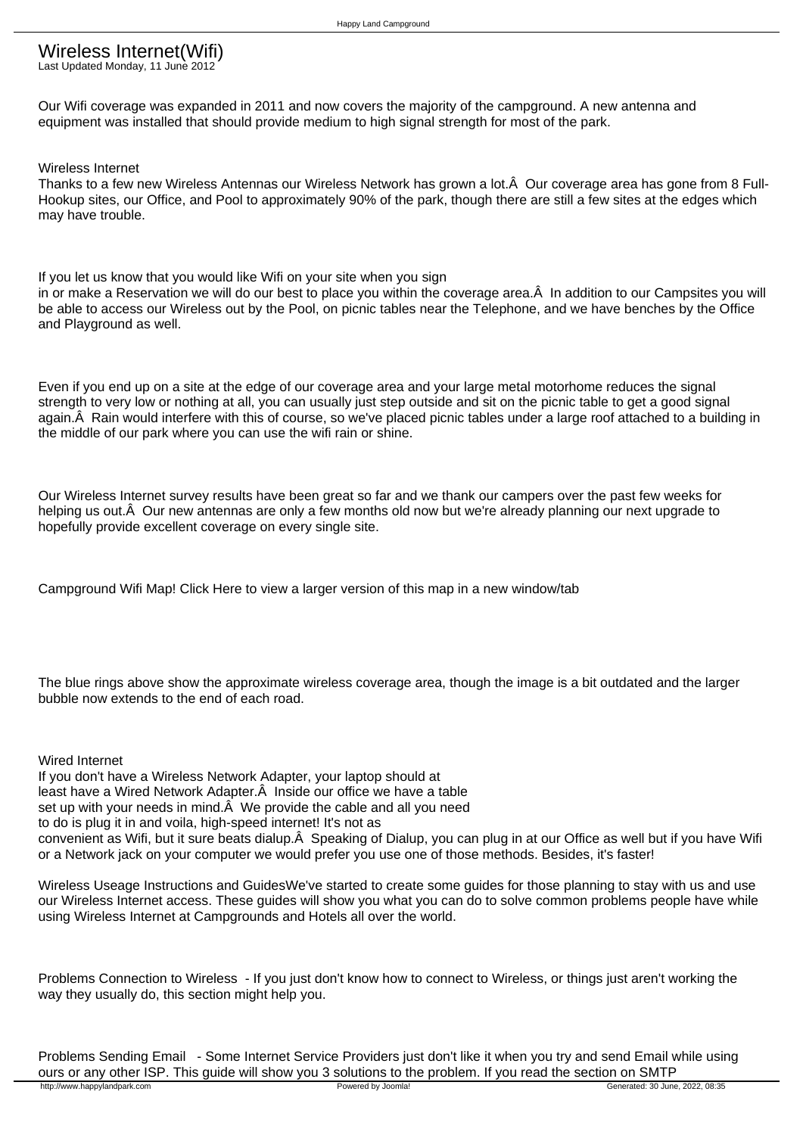## Wireless Internet(Wifi)

Last Updated Monday, 11 June 2012

Our Wifi coverage was expanded in 2011 and now covers the majority of the campground. A new antenna and equipment was installed that should provide medium to high signal strength for most of the park.

Wireless Internet

Thanks to a few new Wireless Antennas our Wireless Network has grown a lot. Â Our coverage area has gone from 8 Full-Hookup sites, our Office, and Pool to approximately 90% of the park, though there are still a few sites at the edges which may have trouble.

If you let us know that you would like Wifi on your site when you sign in or make a Reservation we will do our best to place you within the coverage area. A In addition to our Campsites you will be able to access our Wireless out by the Pool, on picnic tables near the Telephone, and we have benches by the Office and Playground as well.

Even if you end up on a site at the edge of our coverage area and your large metal motorhome reduces the signal strength to very low or nothing at all, you can usually just step outside and sit on the picnic table to get a good signal again. Â Rain would interfere with this of course, so we've placed picnic tables under a large roof attached to a building in the middle of our park where you can use the wifi rain or shine.

Our Wireless Internet survey results have been great so far and we thank our campers over the past few weeks for helping us out. Â Our new antennas are only a few months old now but we're already planning our next upgrade to hopefully provide excellent coverage on every single site.

Campground Wifi Map! Click Here to view a larger version of this map in a new window/tab

The blue rings above show the approximate wireless coverage area, though the image is a bit outdated and the larger bubble now extends to the end of each road.

Wired Internet If you don't have a Wireless Network Adapter, your laptop should at least have a Wired Network Adapter. A Inside our office we have a table set up with your needs in mind. $\hat{A}$  We provide the cable and all you need to do is plug it in and voila, high-speed internet! It's not as convenient as Wifi, but it sure beats dialup. A Speaking of Dialup, you can plug in at our Office as well but if you have Wifi or a Network jack on your computer we would prefer you use one of those methods. Besides, it's faster!

Wireless Useage Instructions and GuidesWe've started to create some guides for those planning to stay with us and use our Wireless Internet access. These guides will show you what you can do to solve common problems people have while using Wireless Internet at Campgrounds and Hotels all over the world.

Problems Connection to Wireless - If you just don't know how to connect to Wireless, or things just aren't working the way they usually do, this section might help you.

Problems Sending Email - Some Internet Service Providers just don't like it when you try and send Email while using ours or any other ISP. This guide will show you 3 solutions to the problem. If you read the section on SMTP<br>http://www.happylandpark.com **provered by Joomlal**